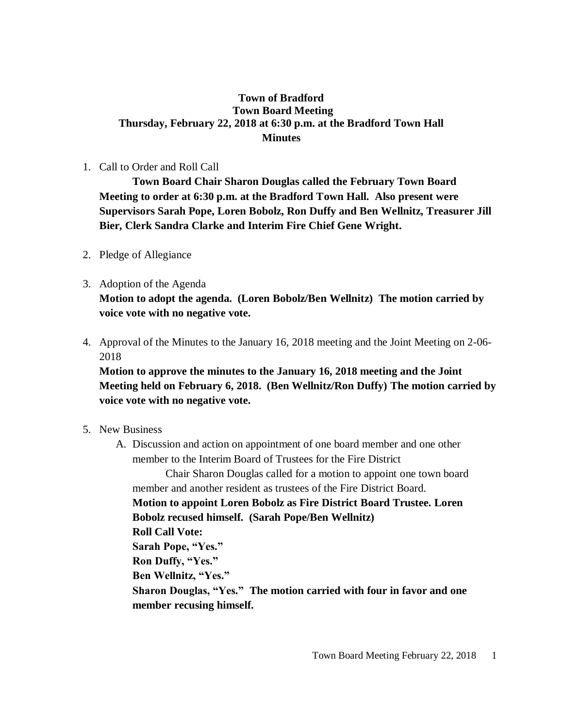### **Town of Bradford Town Board Meeting Thursday, February 22, 2018 at 6:30 p.m. at the Bradford Town Hall Minutes**

#### 1. Call to Order and Roll Call

**Town Board Chair Sharon Douglas called the February Town Board Meeting to order at 6:30 p.m. at the Bradford Town Hall. Also present were Supervisors Sarah Pope, Loren Bobolz, Ron Duffy and Ben Wellnitz, Treasurer Jill Bier, Clerk Sandra Clarke and Interim Fire Chief Gene Wright.**

- 2. Pledge of Allegiance
- 3. Adoption of the Agenda **Motion to adopt the agenda. (Loren Bobolz/Ben Wellnitz) The motion carried by voice vote with no negative vote.**
- 4. Approval of the Minutes to the January 16, 2018 meeting and the Joint Meeting on 2-06- 2018

**Motion to approve the minutes to the January 16, 2018 meeting and the Joint Meeting held on February 6, 2018. (Ben Wellnitz/Ron Duffy) The motion carried by voice vote with no negative vote.**

- 5. New Business
	- A. Discussion and action on appointment of one board member and one other member to the Interim Board of Trustees for the Fire District

Chair Sharon Douglas called for a motion to appoint one town board member and another resident as trustees of the Fire District Board.

**Motion to appoint Loren Bobolz as Fire District Board Trustee. Loren Bobolz recused himself. (Sarah Pope/Ben Wellnitz)**

**Roll Call Vote:**

**Sarah Pope, "Yes."**

**Ron Duffy, "Yes."**

**Ben Wellnitz, "Yes."**

**Sharon Douglas, "Yes." The motion carried with four in favor and one member recusing himself.**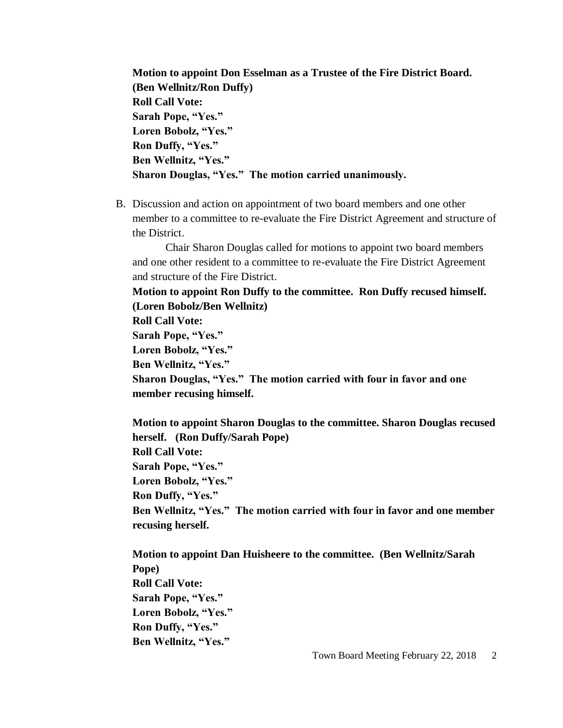**Motion to appoint Don Esselman as a Trustee of the Fire District Board. (Ben Wellnitz/Ron Duffy) Roll Call Vote: Sarah Pope, "Yes." Loren Bobolz, "Yes." Ron Duffy, "Yes." Ben Wellnitz, "Yes." Sharon Douglas, "Yes." The motion carried unanimously.**

B. Discussion and action on appointment of two board members and one other member to a committee to re-evaluate the Fire District Agreement and structure of the District.

Chair Sharon Douglas called for motions to appoint two board members and one other resident to a committee to re-evaluate the Fire District Agreement and structure of the Fire District.

**Motion to appoint Ron Duffy to the committee. Ron Duffy recused himself. (Loren Bobolz/Ben Wellnitz)**

**Roll Call Vote:**

**Sarah Pope, "Yes."**

**Loren Bobolz, "Yes."**

**Ben Wellnitz, "Yes."**

**Sharon Douglas, "Yes." The motion carried with four in favor and one member recusing himself.**

**Motion to appoint Sharon Douglas to the committee. Sharon Douglas recused herself. (Ron Duffy/Sarah Pope) Roll Call Vote: Sarah Pope, "Yes." Loren Bobolz, "Yes." Ron Duffy, "Yes." Ben Wellnitz, "Yes." The motion carried with four in favor and one member recusing herself.**

**Motion to appoint Dan Huisheere to the committee. (Ben Wellnitz/Sarah Pope) Roll Call Vote: Sarah Pope, "Yes." Loren Bobolz, "Yes." Ron Duffy, "Yes." Ben Wellnitz, "Yes."**

Town Board Meeting February 22, 2018 2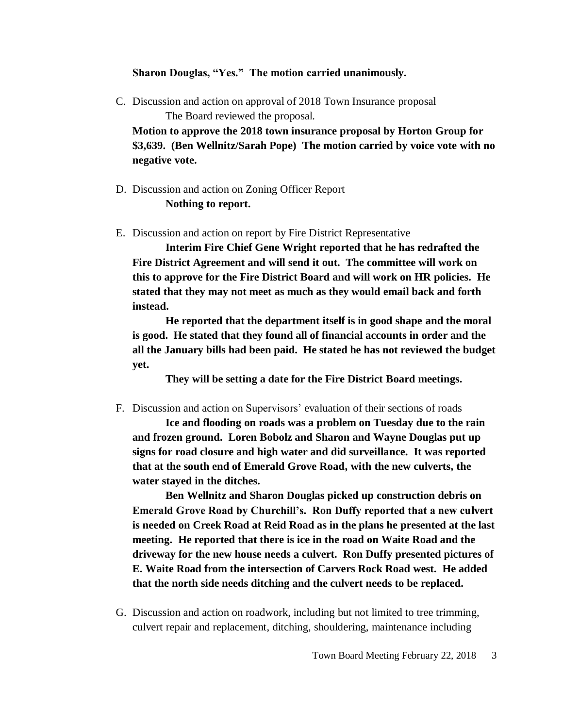#### **Sharon Douglas, "Yes." The motion carried unanimously.**

C. Discussion and action on approval of 2018 Town Insurance proposal The Board reviewed the proposal.

**Motion to approve the 2018 town insurance proposal by Horton Group for \$3,639. (Ben Wellnitz/Sarah Pope) The motion carried by voice vote with no negative vote.**

- D. Discussion and action on Zoning Officer Report **Nothing to report.**
- E. Discussion and action on report by Fire District Representative

**Interim Fire Chief Gene Wright reported that he has redrafted the Fire District Agreement and will send it out. The committee will work on this to approve for the Fire District Board and will work on HR policies. He stated that they may not meet as much as they would email back and forth instead.**

**He reported that the department itself is in good shape and the moral is good. He stated that they found all of financial accounts in order and the all the January bills had been paid. He stated he has not reviewed the budget yet.**

**They will be setting a date for the Fire District Board meetings.**

F. Discussion and action on Supervisors' evaluation of their sections of roads

**Ice and flooding on roads was a problem on Tuesday due to the rain and frozen ground. Loren Bobolz and Sharon and Wayne Douglas put up signs for road closure and high water and did surveillance. It was reported that at the south end of Emerald Grove Road, with the new culverts, the water stayed in the ditches.**

**Ben Wellnitz and Sharon Douglas picked up construction debris on Emerald Grove Road by Churchill's. Ron Duffy reported that a new culvert is needed on Creek Road at Reid Road as in the plans he presented at the last meeting. He reported that there is ice in the road on Waite Road and the driveway for the new house needs a culvert. Ron Duffy presented pictures of E. Waite Road from the intersection of Carvers Rock Road west. He added that the north side needs ditching and the culvert needs to be replaced.** 

G. Discussion and action on roadwork, including but not limited to tree trimming, culvert repair and replacement, ditching, shouldering, maintenance including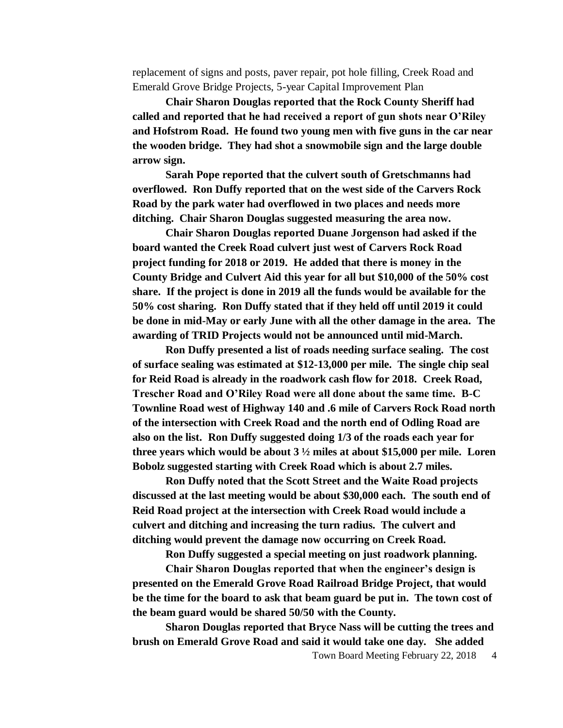replacement of signs and posts, paver repair, pot hole filling, Creek Road and Emerald Grove Bridge Projects, 5-year Capital Improvement Plan

**Chair Sharon Douglas reported that the Rock County Sheriff had called and reported that he had received a report of gun shots near O'Riley and Hofstrom Road. He found two young men with five guns in the car near the wooden bridge. They had shot a snowmobile sign and the large double arrow sign.** 

**Sarah Pope reported that the culvert south of Gretschmanns had overflowed. Ron Duffy reported that on the west side of the Carvers Rock Road by the park water had overflowed in two places and needs more ditching. Chair Sharon Douglas suggested measuring the area now.**

**Chair Sharon Douglas reported Duane Jorgenson had asked if the board wanted the Creek Road culvert just west of Carvers Rock Road project funding for 2018 or 2019. He added that there is money in the County Bridge and Culvert Aid this year for all but \$10,000 of the 50% cost share. If the project is done in 2019 all the funds would be available for the 50% cost sharing. Ron Duffy stated that if they held off until 2019 it could be done in mid-May or early June with all the other damage in the area. The awarding of TRID Projects would not be announced until mid-March.**

**Ron Duffy presented a list of roads needing surface sealing. The cost of surface sealing was estimated at \$12-13,000 per mile. The single chip seal for Reid Road is already in the roadwork cash flow for 2018. Creek Road, Trescher Road and O'Riley Road were all done about the same time. B-C Townline Road west of Highway 140 and .6 mile of Carvers Rock Road north of the intersection with Creek Road and the north end of Odling Road are also on the list. Ron Duffy suggested doing 1/3 of the roads each year for three years which would be about 3 ½ miles at about \$15,000 per mile. Loren Bobolz suggested starting with Creek Road which is about 2.7 miles.**

**Ron Duffy noted that the Scott Street and the Waite Road projects discussed at the last meeting would be about \$30,000 each. The south end of Reid Road project at the intersection with Creek Road would include a culvert and ditching and increasing the turn radius. The culvert and ditching would prevent the damage now occurring on Creek Road.**

**Ron Duffy suggested a special meeting on just roadwork planning.** 

**Chair Sharon Douglas reported that when the engineer's design is presented on the Emerald Grove Road Railroad Bridge Project, that would be the time for the board to ask that beam guard be put in. The town cost of the beam guard would be shared 50/50 with the County.** 

**Sharon Douglas reported that Bryce Nass will be cutting the trees and brush on Emerald Grove Road and said it would take one day. She added** 

Town Board Meeting February 22, 2018 4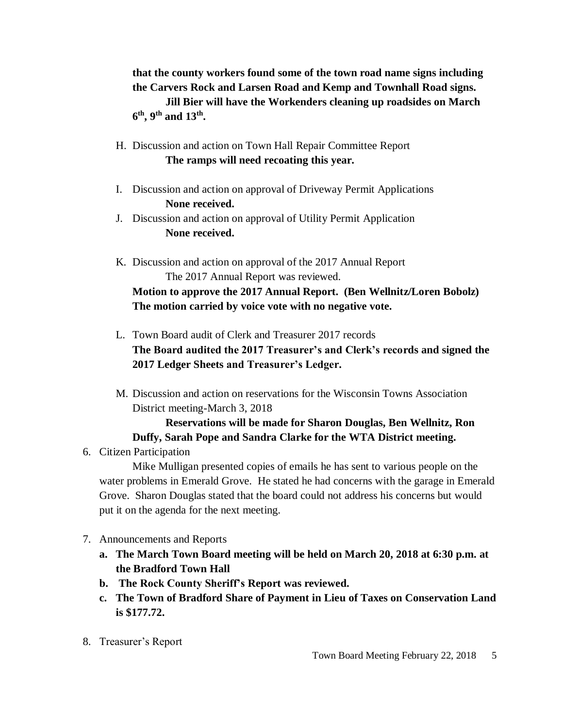**that the county workers found some of the town road name signs including the Carvers Rock and Larsen Road and Kemp and Townhall Road signs. Jill Bier will have the Workenders cleaning up roadsides on March 6 th, 9th and 13th .**

- H. Discussion and action on Town Hall Repair Committee Report **The ramps will need recoating this year.**
- I. Discussion and action on approval of Driveway Permit Applications **None received.**
- J. Discussion and action on approval of Utility Permit Application **None received.**
- K. Discussion and action on approval of the 2017 Annual Report The 2017 Annual Report was reviewed.

# **Motion to approve the 2017 Annual Report. (Ben Wellnitz/Loren Bobolz) The motion carried by voice vote with no negative vote.**

- L. Town Board audit of Clerk and Treasurer 2017 records **The Board audited the 2017 Treasurer's and Clerk's records and signed the 2017 Ledger Sheets and Treasurer's Ledger.**
- M. Discussion and action on reservations for the Wisconsin Towns Association District meeting-March 3, 2018

## **Reservations will be made for Sharon Douglas, Ben Wellnitz, Ron Duffy, Sarah Pope and Sandra Clarke for the WTA District meeting.**

6. Citizen Participation

Mike Mulligan presented copies of emails he has sent to various people on the water problems in Emerald Grove. He stated he had concerns with the garage in Emerald Grove. Sharon Douglas stated that the board could not address his concerns but would put it on the agenda for the next meeting.

- 7. Announcements and Reports
	- **a. The March Town Board meeting will be held on March 20, 2018 at 6:30 p.m. at the Bradford Town Hall**
	- **b. The Rock County Sheriff's Report was reviewed.**
	- **c. The Town of Bradford Share of Payment in Lieu of Taxes on Conservation Land is \$177.72.**
- 8. Treasurer's Report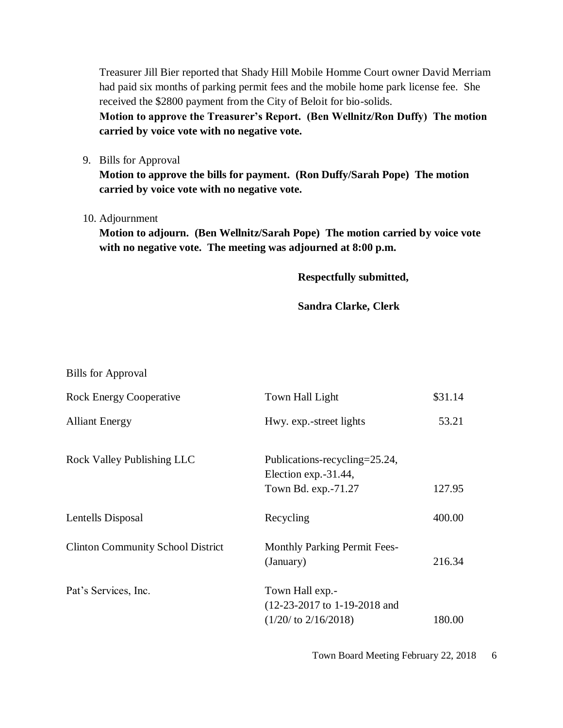Treasurer Jill Bier reported that Shady Hill Mobile Homme Court owner David Merriam had paid six months of parking permit fees and the mobile home park license fee. She received the \$2800 payment from the City of Beloit for bio-solids.

**Motion to approve the Treasurer's Report. (Ben Wellnitz/Ron Duffy) The motion carried by voice vote with no negative vote.**

9. Bills for Approval

**Motion to approve the bills for payment. (Ron Duffy/Sarah Pope) The motion carried by voice vote with no negative vote.**

10. Adjournment

**Motion to adjourn. (Ben Wellnitz/Sarah Pope) The motion carried by voice vote with no negative vote. The meeting was adjourned at 8:00 p.m.**

**Respectfully submitted,**

**Sandra Clarke, Clerk**

| <b>Bills for Approval</b>                |                                                                                      |         |
|------------------------------------------|--------------------------------------------------------------------------------------|---------|
| <b>Rock Energy Cooperative</b>           | Town Hall Light                                                                      | \$31.14 |
| <b>Alliant Energy</b>                    | Hwy. exp.-street lights                                                              | 53.21   |
| Rock Valley Publishing LLC               | Publications-recycling=25.24,<br>Election exp.-31.44,<br>Town Bd. exp.-71.27         | 127.95  |
| Lentells Disposal                        | Recycling                                                                            | 400.00  |
| <b>Clinton Community School District</b> | <b>Monthly Parking Permit Fees-</b><br>(January)                                     | 216.34  |
| Pat's Services, Inc.                     | Town Hall exp.-<br>$(12-23-2017)$ to 1-19-2018 and<br>$(1/20/\text{ to } 2/16/2018)$ | 180.00  |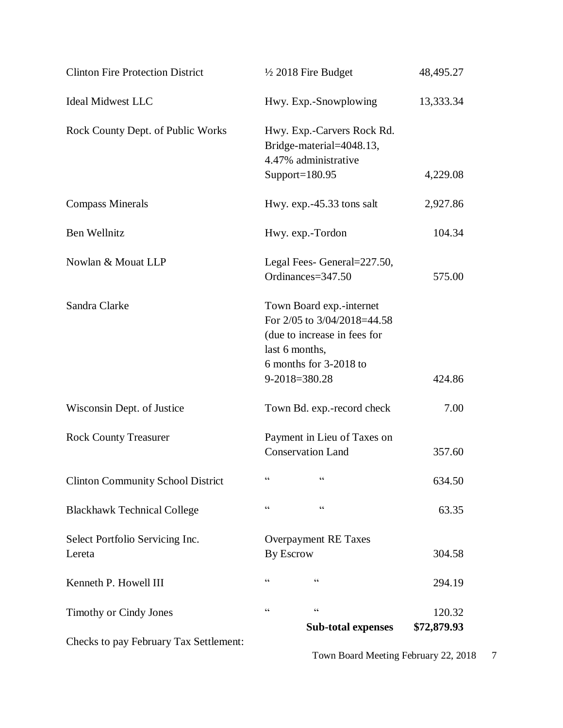| Checks to pay February Tax Settlement:    | <b>Sub-total expenses</b>                                                                                                                            | \$72,879.93 |
|-------------------------------------------|------------------------------------------------------------------------------------------------------------------------------------------------------|-------------|
| <b>Timothy or Cindy Jones</b>             | $\!\!\!\zeta\,\zeta\!\!\!\zeta\!\!\!\zeta$<br>$\zeta\,\zeta$                                                                                         | 120.32      |
| Kenneth P. Howell III                     | $\zeta$ $\zeta$<br>$\zeta$ $\zeta$                                                                                                                   | 294.19      |
| Select Portfolio Servicing Inc.<br>Lereta | <b>Overpayment RE Taxes</b><br><b>By Escrow</b>                                                                                                      | 304.58      |
| <b>Blackhawk Technical College</b>        | $\zeta$ $\zeta$<br>$\zeta\,\zeta$                                                                                                                    | 63.35       |
| <b>Clinton Community School District</b>  | $\zeta \zeta$<br>$\zeta$ $\zeta$                                                                                                                     | 634.50      |
| <b>Rock County Treasurer</b>              | Payment in Lieu of Taxes on<br><b>Conservation Land</b>                                                                                              | 357.60      |
| Wisconsin Dept. of Justice                | Town Bd. exp.-record check                                                                                                                           | 7.00        |
| Sandra Clarke                             | Town Board exp.-internet<br>For 2/05 to 3/04/2018=44.58<br>(due to increase in fees for<br>last 6 months,<br>6 months for 3-2018 to<br>9-2018=380.28 | 424.86      |
| Nowlan & Mouat LLP                        | Legal Fees- General=227.50,<br>Ordinances=347.50                                                                                                     | 575.00      |
| Ben Wellnitz                              | Hwy. exp.-Tordon                                                                                                                                     | 104.34      |
| <b>Compass Minerals</b>                   | Hwy. exp.-45.33 tons salt                                                                                                                            | 2,927.86    |
| Rock County Dept. of Public Works         | Hwy. Exp.-Carvers Rock Rd.<br>Bridge-material=4048.13,<br>4.47% administrative<br>Support= $180.95$                                                  | 4,229.08    |
| <b>Ideal Midwest LLC</b>                  | Hwy. Exp.-Snowplowing                                                                                                                                | 13,333.34   |
| <b>Clinton Fire Protection District</b>   | $\frac{1}{2}$ 2018 Fire Budget                                                                                                                       | 48,495.27   |

Town Board Meeting February 22, 2018 7